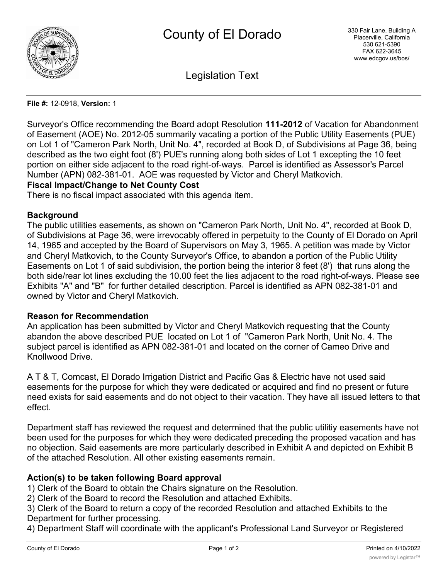

Legislation Text

#### **File #:** 12-0918, **Version:** 1

Surveyor's Office recommending the Board adopt Resolution **111-2012** of Vacation for Abandonment of Easement (AOE) No. 2012-05 summarily vacating a portion of the Public Utility Easements (PUE) on Lot 1 of "Cameron Park North, Unit No. 4", recorded at Book D, of Subdivisions at Page 36, being described as the two eight foot (8') PUE's running along both sides of Lot 1 excepting the 10 feet portion on either side adjacent to the road right-of-ways. Parcel is identified as Assessor's Parcel Number (APN) 082-381-01. AOE was requested by Victor and Cheryl Matkovich.

# **Fiscal Impact/Change to Net County Cost**

There is no fiscal impact associated with this agenda item.

### **Background**

The public utilities easements, as shown on "Cameron Park North, Unit No. 4", recorded at Book D, of Subdivisions at Page 36, were irrevocably offered in perpetuity to the County of El Dorado on April 14, 1965 and accepted by the Board of Supervisors on May 3, 1965. A petition was made by Victor and Cheryl Matkovich, to the County Surveyor's Office, to abandon a portion of the Public Utility Easements on Lot 1 of said subdivision, the portion being the interior 8 feet (8') that runs along the both side/rear lot lines excluding the 10.00 feet the lies adjacent to the road right-of-ways. Please see Exhibits "A" and "B" for further detailed description. Parcel is identified as APN 082-381-01 and owned by Victor and Cheryl Matkovich.

### **Reason for Recommendation**

An application has been submitted by Victor and Cheryl Matkovich requesting that the County abandon the above described PUE located on Lot 1 of "Cameron Park North, Unit No. 4. The subject parcel is identified as APN 082-381-01 and located on the corner of Cameo Drive and Knollwood Drive.

A T & T, Comcast, El Dorado Irrigation District and Pacific Gas & Electric have not used said easements for the purpose for which they were dedicated or acquired and find no present or future need exists for said easements and do not object to their vacation. They have all issued letters to that effect.

Department staff has reviewed the request and determined that the public utilitiy easements have not been used for the purposes for which they were dedicated preceding the proposed vacation and has no objection. Said easements are more particularly described in Exhibit A and depicted on Exhibit B of the attached Resolution. All other existing easements remain.

# **Action(s) to be taken following Board approval**

1) Clerk of the Board to obtain the Chairs signature on the Resolution.

2) Clerk of the Board to record the Resolution and attached Exhibits.

3) Clerk of the Board to return a copy of the recorded Resolution and attached Exhibits to the Department for further processing.

4) Department Staff will coordinate with the applicant's Professional Land Surveyor or Registered